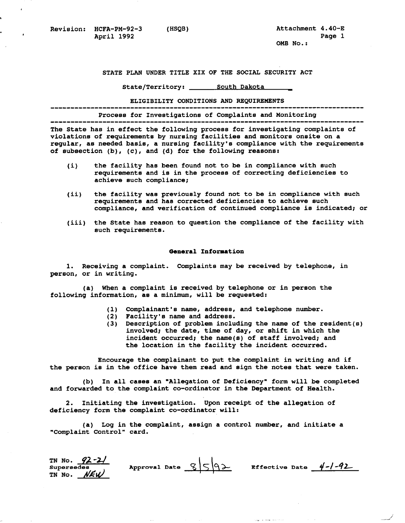Revision: HCFA-PM-92-3 (HSQB) **April 1992** 

**Attachment 4.40-E Page 1 OMB No.** :

STATE PLAN UNDER TITLE XIX OF THE SOCIAL SECURITY ACT

**State/Territory:** 

**ELIGIBILITY CONDITIONS**AND **REQUIREMENTS** ...............................................................................

**Process for Investigations of Complaintsand Monitoring** ...............................................................................

**The State has in effect the following process forinvestigating complaints of violations of requirements by nursing facilities andmonitors onsite on a regular, as needed basis, a nursing facility'scompliance with the requirements** 

- **(i) the facility has been found not to be in compliance with such requirements and is in the process of correctingdeficiencies to achieve such compliance;**
- **(ii) the facility was previously found not to be in compliance with such requirements and has corrected deficienciesto achieve such compliance, and verificationof continued compliance is indicated; or**
- (iii) the State has reason to question the compliance of the facility with **such requirements.**

## **General Information**

**1. Receiving a complaint. Complaints may be receivedby telephone, in person, or in writing.** 

(a) When a complaint is received by telephone or in person the **following information, as a minimum, willbe requested:** 

- **(1) Complainant's name, address, and telephone number.**
- **(2) Facility's name and address.**

**of subsection (b), (c), and (d) for the following reasons:** 

**(3) Description of problem includingthe name of the resident(s) involved; the date, time of day, or shift in which the**  incident occurred; the name(s) of staff involved; and the location in the facility the incident occurred.

**Encourage the complainant to put the complaint in writing and if**  the person is in the office have them read and sign the notes that were taken.

**(b) In all casesan "Allegation of Deficiency" formwill be completed**  and forwarded to the complaint co-ordinator in the Department of Health.

**2. Initiating the investigation. Upon receipt of the allegation of deficiency form the complaint co-ordinator will:** 

**(a) Log in the complaint, assign a control number, andinitiate a "Complaint Control" card.** 

| TN No. $92 - 2/$ |                             |                         |  |
|------------------|-----------------------------|-------------------------|--|
| Supersedes       | Approval Date $\Im  \zeta $ | Effective Date $4-1-92$ |  |
| $TN$ No. $NEW$   |                             |                         |  |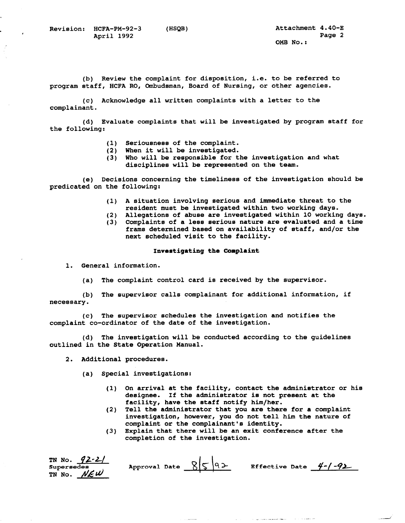**(b) Review the complaint for disposition, i.e. to be referred to program staff, HCFARO, Ombudsman, Board of Nursing,or other agencies.** 

**(c) Acknowledge all written complaintswith a letter to the complainant.** 

**(d) Evaluate complaints that will be investigatedby program staff for the following:** 

- **(1) Seriousness of the complaint.**
- **(2) When it will be investigated.**
- (3) Who will be responsible for the investigation and what disciplines will be represented on the team.

**(e) Decisions concerningthe timeliness of the investigation should be**  predicated on the following:

- **(1) A situation involving serious andimmediate threat to the resident must be investigated within two working days.**
- **(2) Allegations of abuse are investigated within 10 working days. (3) Complaints of a lessserious nature are evaluated and atime**
- frams determined based on availability of staff, and/or the next scheduled visit to the facility.

## **Investigating the Complaint**

**1. General information.** 

(a) The complaint control card is received by the supervisor.

**(b) The supervisor calls complainant foradditional information, if necessary.** 

**(c) The supervisor schedulesthe investigation andnotifies the**  complaint co-ordinator of the date of the investigation.

**(d) The investigation will be conducted accordingto the guidelines**  outlined in the State Operation Manual.

**2. Additional procedures.** 

**(a) Special investigations:** 

**(1) On arrival at the facility, contact the administrator or his designee. If the administrator is not present at the**  facility, have the staff notify him/her.

**Carlos** 

مناصبين والرابيان

<u>.</u><br>1980 - Jan Berlin Harmont, filmoù a

- **(2) Tell the administrator that youare there for a complaint investigation, however, youdo not tell him the nature of complaint or the complainant's identity.**
- (3) Explain that there will be an exit conference after the **completion of the investigation.**

| TN No. $92-2/$       |                       |                        |  |
|----------------------|-----------------------|------------------------|--|
| Supersedes           | Approval Date $8 5 9$ | Effective Date $4-/-9$ |  |
| TN NO. $N\epsilon W$ |                       |                        |  |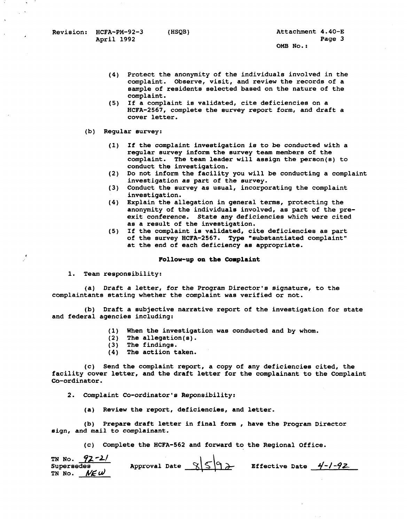- **(4) Protect the anonymity of the individuals involved inthe complaint. Observe, visit, and review the records of a**  sample of residents selected based on the nature of the **complaint.**
- **(5) If a complaint is validated, citedeficiencies on a HCFA-2567, complete the survey report***form,* **and draft a cover letter.**
- **(b) Regular survey:** 
	- **(1) If the complaint investigationis to be conducted with a**  regular survey inform the survey team members of the **complaint. The team leader willassign the person(s) to conduct the investigation.**
	- **(2) Do not inform the facility you willbe conducting a complaint investigation as part of the survey.**
	- **(3) Conduct the survey as usual, incorporatingthe complaint investigation.**
	- **(4) Explain the allegation in general terms, protecting the**  anonymity of the individuals involved, as part of the pre**exit conference. State any deficiencies which were cited**  as a result of the investigation.
	- **(5) If the complaint is validated, cite deficiencies as part of the survey HCFA-2567.** Type **"substantiated complaint"**  at the end of each deficiency as appropriate.

## **Follow-up on the Complaint**

**1. Team responsibility:** 

**(a) Draft a letter, for the Program Director's signature,to the**  complaintants stating whether the complaint was verified or not.

**(b) Draft a subjective narrative reportof the investigation for state and federal agencies including:** 

- (1) When the investigation was conducted and by whom.<br>(2) The allegation(s).
- $(2)$  The allegation $(s)$ .<br> $(3)$  The findings.
- **(3) The findings.**
- **(4) The action taken.**

**(c) Send the complaint report, a copy of anydeficiencies cited, the facility cover letter, and the draft letter forthe complainant to the Complaint Co-ordinator.** 

**2. Complaint Co-ordinator's Reponsibility:** 

**(a) Review the report, deficiencies, and letter.** 

**(b) Prepare draft letter in final form**, **have the Program Director**  sign, and mail to complainant.

(c) Complete the HCFA-562 and forward to the Regional Office.

| TN No. $92 - 2/$      |                                |                         |  |
|-----------------------|--------------------------------|-------------------------|--|
| Supersedes            | Approval Date $\frac{8592}{ }$ | Effective Date $4-1-92$ |  |
| TN No. $N \in \omega$ |                                |                         |  |